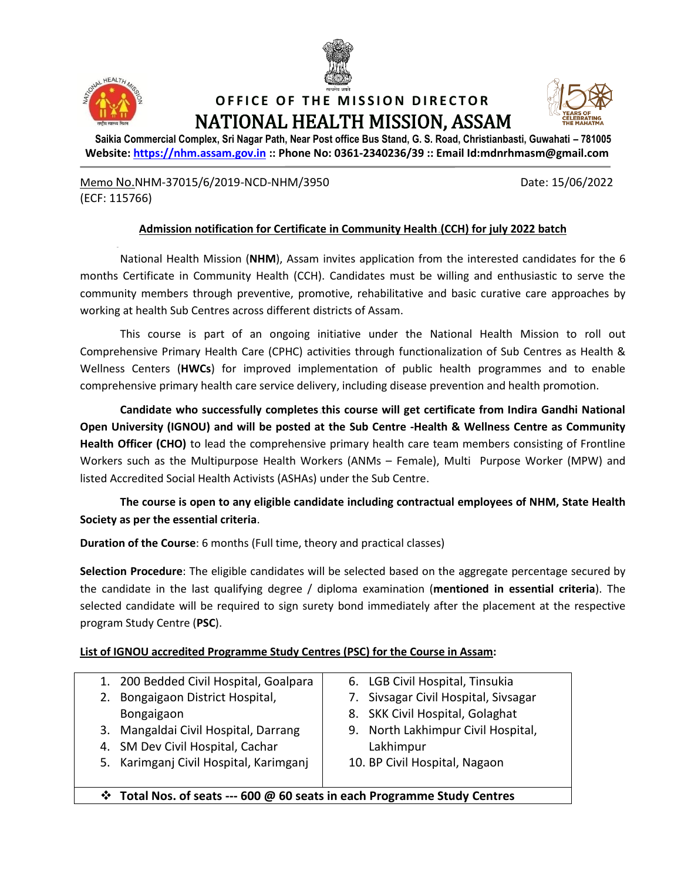



## **OFFICE OF THE MISSION DIRECTOR** NATIONAL HEALTH MISSION, ASSAM



**Saikia Commercial Complex, Sri Nagar Path, Near Post office Bus Stand, G. S. Road, Christianbasti, Guwahati – 781005 Website: [https://nhm.assam.gov.in](https://nhm.assam.gov.in/) :: Phone No: 0361-2340236/39 :: Email Id:mdnrhmasm@gmail.com**

Memo No.NHM-37015/6/2019-NCD-NHM/3950 Date: 15/06/2022 (ECF: 115766)

#### **Admission notification for Certificate in Community Health (CCH) for july 2022 batch**

National Health Mission (**NHM**), Assam invites application from the interested candidates for the 6 months Certificate in Community Health (CCH). Candidates must be willing and enthusiastic to serve the community members through preventive, promotive, rehabilitative and basic curative care approaches by working at health Sub Centres across different districts of Assam.

This course is part of an ongoing initiative under the National Health Mission to roll out Comprehensive Primary Health Care (CPHC) activities through functionalization of Sub Centres as Health & Wellness Centers (**HWCs**) for improved implementation of public health programmes and to enable comprehensive primary health care service delivery, including disease prevention and health promotion.

**Candidate who successfully completes this course will get certificate from Indira Gandhi National Open University (IGNOU) and will be posted at the Sub Centre -Health & Wellness Centre as Community Health Officer (CHO)** to lead the comprehensive primary health care team members consisting of Frontline Workers such as the Multipurpose Health Workers (ANMs – Female), Multi Purpose Worker (MPW) and listed Accredited Social Health Activists (ASHAs) under the Sub Centre.

**The course is open to any eligible candidate including contractual employees of NHM, State Health Society as per the essential criteria**.

**Duration of the Course**: 6 months (Full time, theory and practical classes)

**Selection Procedure**: The eligible candidates will be selected based on the aggregate percentage secured by the candidate in the last qualifying degree / diploma examination (**mentioned in essential criteria**). The selected candidate will be required to sign surety bond immediately after the placement at the respective program Study Centre (**PSC**).

#### **List of IGNOU accredited Programme Study Centres (PSC) for the Course in Assam:**

| 1. 200 Bedded Civil Hospital, Goalpara                                          | 6. LGB Civil Hospital, Tinsukia      |
|---------------------------------------------------------------------------------|--------------------------------------|
| 2. Bongaigaon District Hospital,                                                | 7. Sivsagar Civil Hospital, Sivsagar |
| Bongaigaon                                                                      | 8. SKK Civil Hospital, Golaghat      |
| 3. Mangaldai Civil Hospital, Darrang                                            | 9. North Lakhimpur Civil Hospital,   |
| 4. SM Dev Civil Hospital, Cachar                                                | Lakhimpur                            |
| 5. Karimganj Civil Hospital, Karimganj                                          | 10. BP Civil Hospital, Nagaon        |
|                                                                                 |                                      |
| <b>V</b> Total Nos. of seats --- 600 @ 60 seats in each Programme Study Centres |                                      |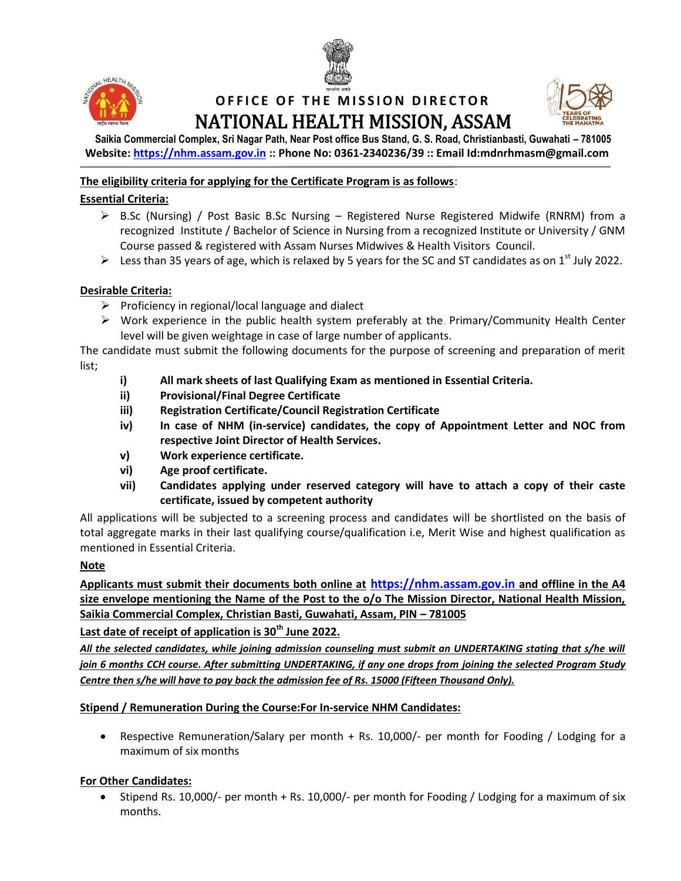



# **OFFICE OF THE MISSION DIRECTOR** NATIONAL HEALTH MISSION, ASSAM



**Saikia Commercial Complex, Sri Nagar Path, Near Post office Bus Stand, G. S. Road, Christianbasti, Guwahati – 781005 Website: [https://nhm.assam.gov.in](https://nhm.assam.gov.in/) :: Phone No: 0361-2340236/39 :: Email Id:mdnrhmasm@gmail.com**

### **The eligibility criteria for applying for the Certificate Program is as follows**:

### **Essential Criteria:**

- $\triangleright$  B.Sc (Nursing) / Post Basic B.Sc Nursing Registered Nurse Registered Midwife (RNRM) from a recognized Institute / Bachelor of Science in Nursing from a recognized Institute or University / GNM Course passed & registered with Assam Nurses Midwives & Health Visitors Council.
- Eess than 35 years of age, which is relaxed by 5 years for the SC and ST candidates as on 1<sup>st</sup> July 2022.

#### **Desirable Criteria:**

- $\triangleright$  Proficiency in regional/local language and dialect
- $\triangleright$  Work experience in the public health system preferably at the Primary/Community Health Center level will be given weightage in case of large number of applicants.

The candidate must submit the following documents for the purpose of screening and preparation of merit list;

- **i) All mark sheets of last Qualifying Exam as mentioned in Essential Criteria.**
- **ii) Provisional/Final Degree Certificate**
- **iii) Registration Certificate/Council Registration Certificate**
- **iv) In case of NHM (in-service) candidates, the copy of Appointment Letter and NOC from respective Joint Director of Health Services.**
- **v) Work experience certificate.**
- **vi) Age proof certificate.**
- **vii) Candidates applying under reserved category will have to attach a copy of their caste certificate, issued by competent authority**

All applications will be subjected to a screening process and candidates will be shortlisted on the basis of total aggregate marks in their last qualifying course/qualification i.e, Merit Wise and highest qualification as mentioned in Essential Criteria.

#### **Note**

**Applicants must submit their documents both online at [https://nhm.assam.gov.in](https://nhm.assam.gov.in/) and offline in the A4 size envelope mentioning the Name of the Post to the o/o The Mission Director, National Health Mission, Saikia Commercial Complex, Christian Basti, Guwahati, Assam, PIN – 781005**

**Last date of receipt of application is 30th June 2022.** 

*All the selected candidates, while joining admission counseling must submit an UNDERTAKING stating that s/he will join 6 months CCH course. After submitting UNDERTAKING, if any one drops from joining the selected Program Study Centre then s/he will have to pay back the admission fee of Rs. 15000 (Fifteen Thousand Only).*

#### **Stipend / Remuneration During the Course:For In-service NHM Candidates:**

 Respective Remuneration/Salary per month + Rs. 10,000/- per month for Fooding / Lodging for a maximum of six months

#### **For Other Candidates:**

 Stipend Rs. 10,000/- per month + Rs. 10,000/- per month for Fooding / Lodging for a maximum of six months.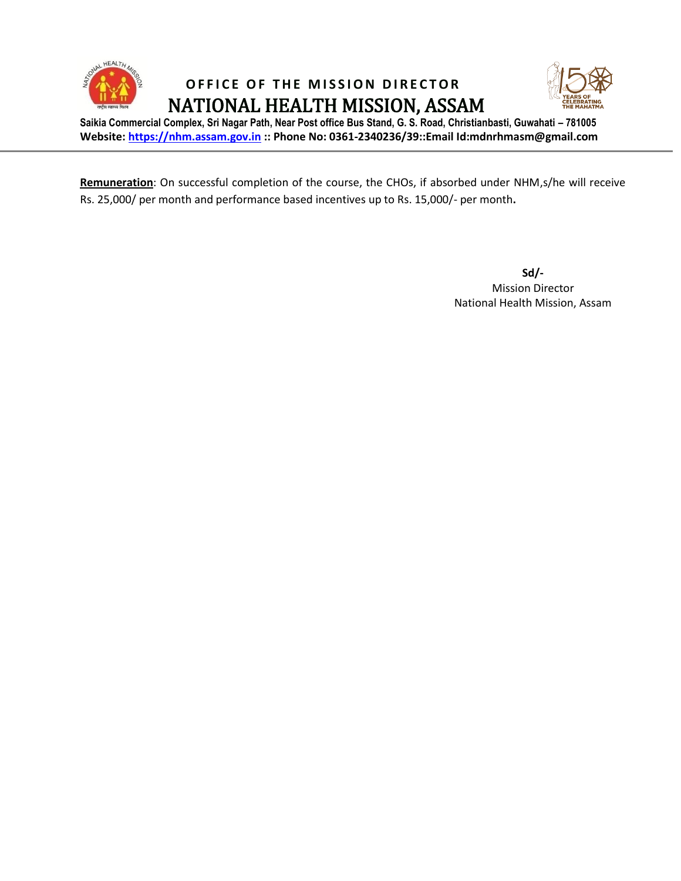

**OFFICE OF THE MISSION DIRECTOR** NATIONAL HEALTH MISSION, ASSAM



**Saikia Commercial Complex, Sri Nagar Path, Near Post office Bus Stand, G. S. Road, Christianbasti, Guwahati – 781005 Website: [https://nhm.assam.gov.in](https://nhm.assam.gov.in/) :: Phone No: 0361-2340236/39::Email Id:mdnrhmasm@gmail.com**

**Remuneration**: On successful completion of the course, the CHOs, if absorbed under NHM,s/he will receive Rs. 25,000/ per month and performance based incentives up to Rs. 15,000/- per month**.**

> **Sd/-** Mission Director National Health Mission, Assam